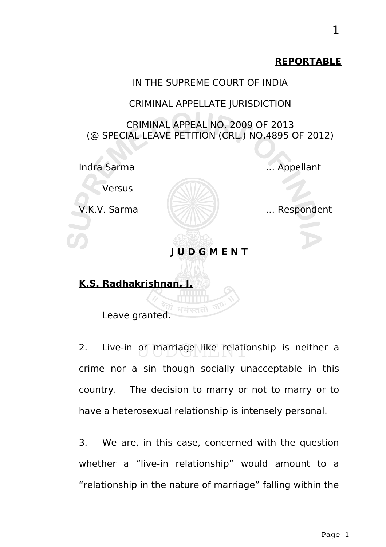#### **REPORTABLE**



2. Live-in or marriage like relationship is neither a crime nor a sin though socially unacceptable in this country. The decision to marry or not to marry or to have a heterosexual relationship is intensely personal.

3. We are, in this case, concerned with the question whether a "live-in relationship" would amount to a "relationship in the nature of marriage" falling within the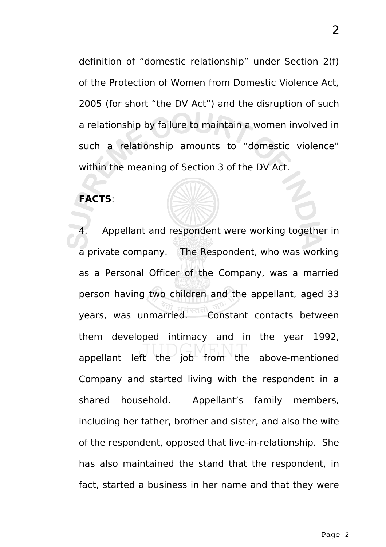definition of "domestic relationship" under Section 2(f) of the Protection of Women from Domestic Violence Act, 2005 (for short "the DV Act") and the disruption of such a relationship by failure to maintain a women involved in such a relationship amounts to "domestic violence" within the meaning of Section 3 of the DV Act.

### **FACTS**:

4. Appellant and respondent were working together in a private company. The Respondent, who was working as a Personal Officer of the Company, was a married person having two children and the appellant, aged 33 years, was unmarried. Constant contacts between them developed intimacy and in the year 1992, appellant left the job from the above-mentioned Company and started living with the respondent in a shared household. Appellant's family members, including her father, brother and sister, and also the wife of the respondent, opposed that live-in-relationship. She has also maintained the stand that the respondent, in fact, started a business in her name and that they were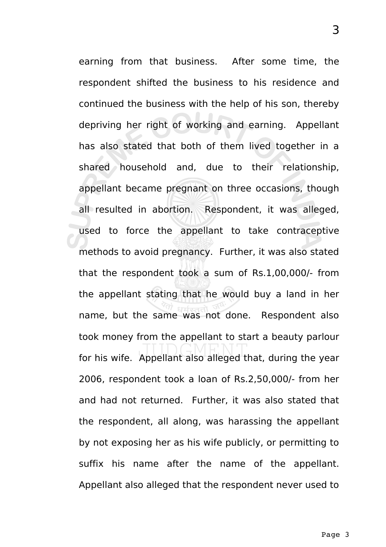earning from that business. After some time, the respondent shifted the business to his residence and continued the business with the help of his son, thereby depriving her right of working and earning. Appellant has also stated that both of them lived together in a shared household and, due to their relationship, appellant became pregnant on three occasions, though all resulted in abortion. Respondent, it was alleged, used to force the appellant to take contraceptive methods to avoid pregnancy. Further, it was also stated that the respondent took a sum of Rs.1,00,000/- from the appellant stating that he would buy a land in her name, but the same was not done. Respondent also took money from the appellant to start a beauty parlour for his wife. Appellant also alleged that, during the year 2006, respondent took a loan of Rs.2,50,000/- from her and had not returned. Further, it was also stated that the respondent, all along, was harassing the appellant by not exposing her as his wife publicly, or permitting to suffix his name after the name of the appellant. Appellant also alleged that the respondent never used to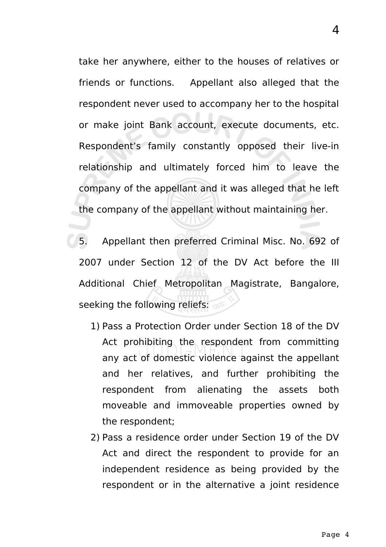take her anywhere, either to the houses of relatives or friends or functions. Appellant also alleged that the respondent never used to accompany her to the hospital or make joint Bank account, execute documents, etc. Respondent's family constantly opposed their live-in relationship and ultimately forced him to leave the company of the appellant and it was alleged that he left the company of the appellant without maintaining her.

5. Appellant then preferred Criminal Misc. No. 692 of 2007 under Section 12 of the DV Act before the III Additional Chief Metropolitan Magistrate, Bangalore, seeking the following reliefs:

- 1) Pass a Protection Order under Section 18 of the DV Act prohibiting the respondent from committing any act of domestic violence against the appellant and her relatives, and further prohibiting the respondent from alienating the assets both moveable and immoveable properties owned by the respondent;
- 2) Pass a residence order under Section 19 of the DV Act and direct the respondent to provide for an independent residence as being provided by the respondent or in the alternative a joint residence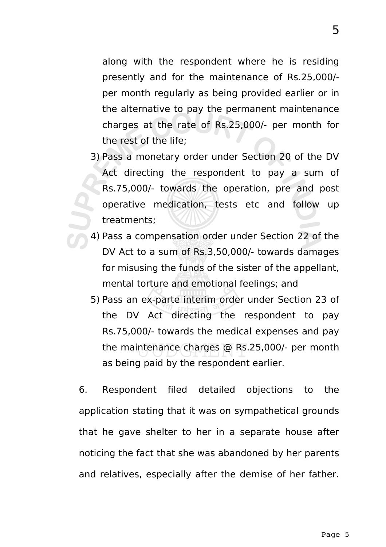along with the respondent where he is residing presently and for the maintenance of Rs.25,000/ per month regularly as being provided earlier or in the alternative to pay the permanent maintenance charges at the rate of Rs.25,000/- per month for the rest of the life;

- 3) Pass a monetary order under Section 20 of the DV Act directing the respondent to pay a sum of Rs.75,000/- towards the operation, pre and post operative medication, tests etc and follow up treatments;
- 4) Pass a compensation order under Section 22 of the DV Act to a sum of Rs.3,50,000/- towards damages for misusing the funds of the sister of the appellant, mental torture and emotional feelings; and
	- 5) Pass an ex-parte interim order under Section 23 of the DV Act directing the respondent to pay Rs.75,000/- towards the medical expenses and pay the maintenance charges @ Rs.25,000/- per month as being paid by the respondent earlier.

6. Respondent filed detailed objections to the application stating that it was on sympathetical grounds that he gave shelter to her in a separate house after noticing the fact that she was abandoned by her parents and relatives, especially after the demise of her father.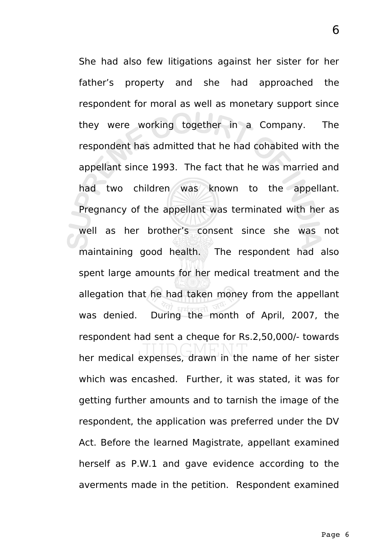She had also few litigations against her sister for her father's property and she had approached the respondent for moral as well as monetary support since they were working together in a Company. The respondent has admitted that he had cohabited with the appellant since 1993. The fact that he was married and had two children was known to the appellant. Pregnancy of the appellant was terminated with her as well as her brother's consent since she was not maintaining good health. The respondent had also spent large amounts for her medical treatment and the allegation that he had taken money from the appellant was denied. During the month of April, 2007, the respondent had sent a cheque for Rs.2,50,000/- towards her medical expenses, drawn in the name of her sister which was encashed. Further, it was stated, it was for getting further amounts and to tarnish the image of the respondent, the application was preferred under the DV Act. Before the learned Magistrate, appellant examined herself as P.W.1 and gave evidence according to the averments made in the petition. Respondent examined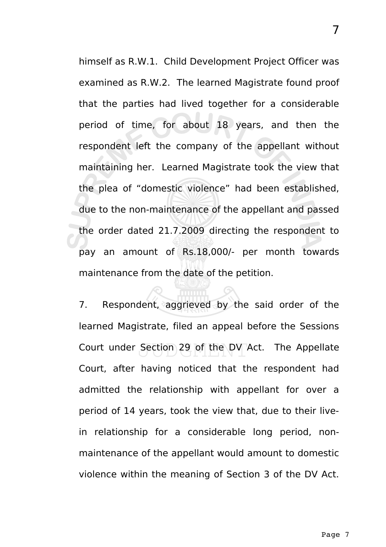himself as R.W.1. Child Development Project Officer was examined as R.W.2. The learned Magistrate found proof that the parties had lived together for a considerable period of time, for about 18 years, and then the respondent left the company of the appellant without maintaining her. Learned Magistrate took the view that the plea of "domestic violence" had been established, due to the non-maintenance of the appellant and passed the order dated 21.7.2009 directing the respondent to pay an amount of Rs.18,000/- per month towards maintenance from the date of the petition.

7. Respondent, aggrieved by the said order of the learned Magistrate, filed an appeal before the Sessions Court under Section 29 of the DV Act. The Appellate Court, after having noticed that the respondent had admitted the relationship with appellant for over a period of 14 years, took the view that, due to their livein relationship for a considerable long period, nonmaintenance of the appellant would amount to domestic violence within the meaning of Section 3 of the DV Act.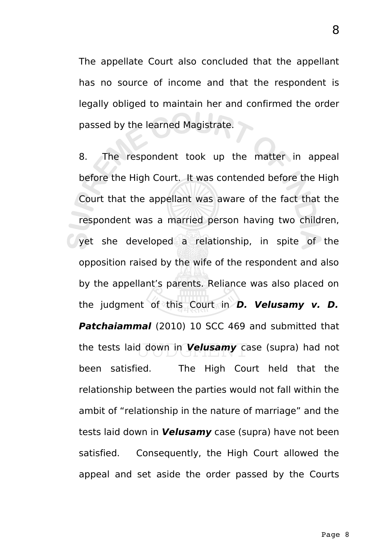The appellate Court also concluded that the appellant has no source of income and that the respondent is legally obliged to maintain her and confirmed the order passed by the learned Magistrate.

8. The respondent took up the matter in appeal before the High Court. It was contended before the High Court that the appellant was aware of the fact that the respondent was a married person having two children, yet she developed a relationship, in spite of the opposition raised by the wife of the respondent and also by the appellant's parents. Reliance was also placed on the judgment of this Court in **D. Velusamy v. D. Patchaiammal** (2010) 10 SCC 469 and submitted that the tests laid down in **Velusamy** case (supra) had not been satisfied. The High Court held that the relationship between the parties would not fall within the ambit of "relationship in the nature of marriage" and the tests laid down in **Velusamy** case (supra) have not been satisfied. Consequently, the High Court allowed the appeal and set aside the order passed by the Courts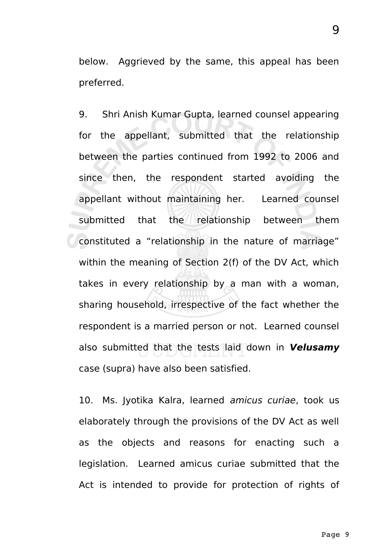below. Aggrieved by the same, this appeal has been preferred.

9. Shri Anish Kumar Gupta, learned counsel appearing for the appellant, submitted that the relationship between the parties continued from 1992 to 2006 and since then, the respondent started avoiding the appellant without maintaining her. Learned counsel submitted that the relationship between them constituted a "relationship in the nature of marriage" within the meaning of Section 2(f) of the DV Act, which takes in every relationship by a man with a woman, sharing household, irrespective of the fact whether the respondent is a married person or not. Learned counsel also submitted that the tests laid down in **Velusamy** case (supra) have also been satisfied.

10. Ms. Jyotika Kalra, learned amicus curiae, took us elaborately through the provisions of the DV Act as well as the objects and reasons for enacting such a legislation. Learned amicus curiae submitted that the Act is intended to provide for protection of rights of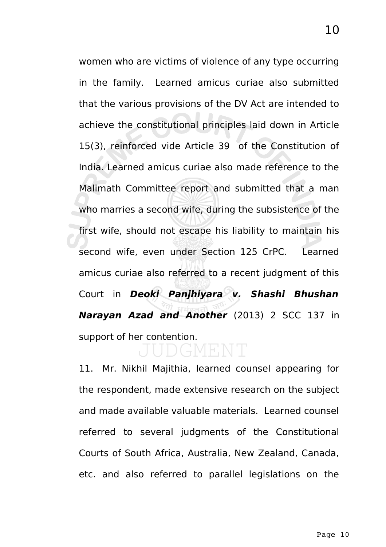women who are victims of violence of any type occurring in the family. Learned amicus curiae also submitted that the various provisions of the DV Act are intended to achieve the constitutional principles laid down in Article 15(3), reinforced vide Article 39 of the Constitution of India. Learned amicus curiae also made reference to the Malimath Committee report and submitted that a man who marries a second wife, during the subsistence of the first wife, should not escape his liability to maintain his second wife, even under Section 125 CrPC. Learned amicus curiae also referred to a recent judgment of this Court in **Deoki Panjhiyara v. Shashi Bhushan Narayan Azad and Another** (2013) 2 SCC 137 in support of her contention.

# GMENT

11. Mr. Nikhil Majithia, learned counsel appearing for the respondent, made extensive research on the subject and made available valuable materials. Learned counsel referred to several judgments of the Constitutional Courts of South Africa, Australia, New Zealand, Canada, etc. and also referred to parallel legislations on the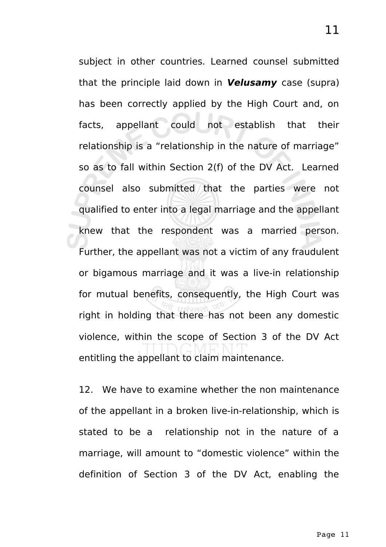subject in other countries. Learned counsel submitted that the principle laid down in **Velusamy** case (supra) has been correctly applied by the High Court and, on facts, appellant could not establish that their relationship is a "relationship in the nature of marriage" so as to fall within Section 2(f) of the DV Act. Learned counsel also submitted that the parties were not qualified to enter into a legal marriage and the appellant knew that the respondent was a married person. Further, the appellant was not a victim of any fraudulent or bigamous marriage and it was a live-in relationship for mutual benefits, consequently, the High Court was right in holding that there has not been any domestic violence, within the scope of Section 3 of the DV Act entitling the appellant to claim maintenance.

12. We have to examine whether the non maintenance of the appellant in a broken live-in-relationship, which is stated to be a relationship not in the nature of a marriage, will amount to "domestic violence" within the definition of Section 3 of the DV Act, enabling the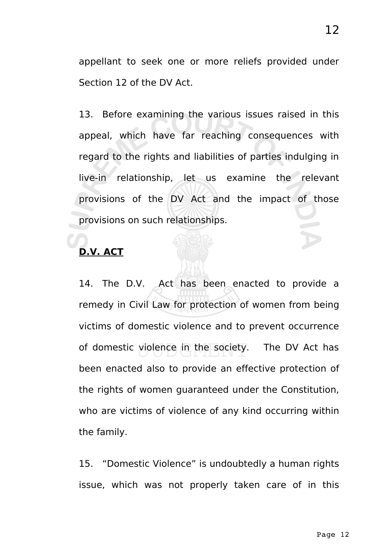appellant to seek one or more reliefs provided under Section 12 of the DV Act.

13. Before examining the various issues raised in this appeal, which have far reaching consequences with regard to the rights and liabilities of parties indulging in live-in relationship, let us examine the relevant provisions of the DV Act and the impact of those provisions on such relationships.

# **D.V. ACT**

14. The D.V. Act has been enacted to provide a remedy in Civil Law for protection of women from being victims of domestic violence and to prevent occurrence of domestic violence in the society. The DV Act has been enacted also to provide an effective protection of the rights of women guaranteed under the Constitution, who are victims of violence of any kind occurring within the family.

15. "Domestic Violence" is undoubtedly a human rights issue, which was not properly taken care of in this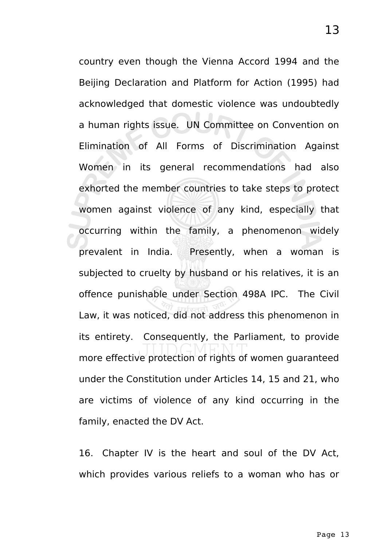country even though the Vienna Accord 1994 and the Beijing Declaration and Platform for Action (1995) had acknowledged that domestic violence was undoubtedly a human rights issue. UN Committee on Convention on Elimination of All Forms of Discrimination Against Women in its general recommendations had also exhorted the member countries to take steps to protect women against violence of any kind, especially that occurring within the family, a phenomenon widely prevalent in India. Presently, when a woman is subjected to cruelty by husband or his relatives, it is an offence punishable under Section 498A IPC. The Civil Law, it was noticed, did not address this phenomenon in its entirety. Consequently, the Parliament, to provide more effective protection of rights of women guaranteed under the Constitution under Articles 14, 15 and 21, who are victims of violence of any kind occurring in the family, enacted the DV Act.

16. Chapter IV is the heart and soul of the DV Act, which provides various reliefs to a woman who has or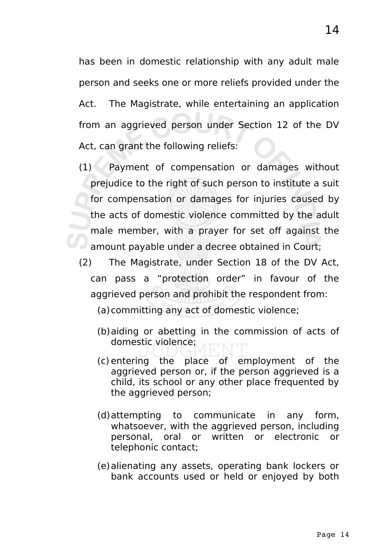has been in domestic relationship with any adult male person and seeks one or more reliefs provided under the Act. The Magistrate, while entertaining an application from an aggrieved person under Section 12 of the DV Act, can grant the following reliefs:

- $(1)$  Payment of compensation or damages without prejudice to the right of such person to institute a suit for compensation or damages for injuries caused by the acts of domestic violence committed by the adult male member, with a prayer for set off against the amount payable under a decree obtained in Court;
- (2) The Magistrate, under Section 18 of the DV Act, can pass a "protection order" in favour of the aggrieved person and prohibit the respondent from:
	- (a)committing any act of domestic violence;
	- (b)aiding or abetting in the commission of acts of domestic violence;
	- (c) entering the place of employment of the aggrieved person or, if the person aggrieved is a child, its school or any other place frequented by the aggrieved person;
	- (d)attempting to communicate in any form, whatsoever, with the aggrieved person, including personal, oral or written or electronic or telephonic contact;
	- (e)alienating any assets, operating bank lockers or bank accounts used or held or enjoyed by both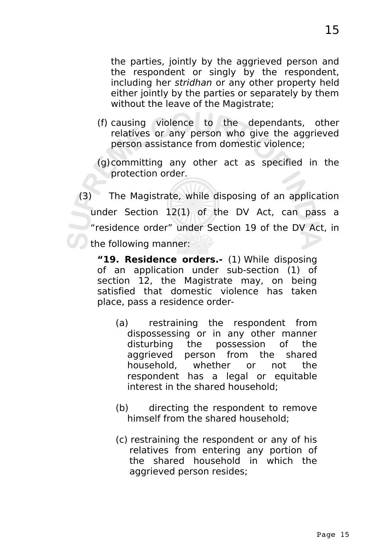the parties, jointly by the aggrieved person and the respondent or singly by the respondent, including her stridhan or any other property held either jointly by the parties or separately by them without the leave of the Magistrate;

- (f) causing violence to the dependants, other relatives or any person who give the aggrieved person assistance from domestic violence;
- (g)committing any other act as specified in the protection order.

(3) The Magistrate, while disposing of an application under Section 12(1) of the DV Act, can pass a "residence order" under Section 19 of the DV Act, in the following manner:

**"19. Residence orders.-** (1) While disposing of an application under sub-section (1) of section 12, the Magistrate may, on being satisfied that domestic violence has taken place, pass a residence order-

- (a) restraining the respondent from dispossessing or in any other manner disturbing the possession of the aggrieved person from the shared household, whether or not the respondent has a legal or equitable interest in the shared household;
- (b) directing the respondent to remove himself from the shared household;
- (c) restraining the respondent or any of his relatives from entering any portion of the shared household in which the aggrieved person resides;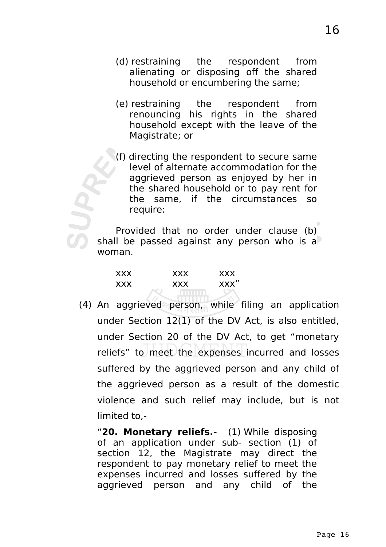- (d) restraining the respondent from alienating or disposing off the shared household or encumbering the same;
- (e) restraining the respondent from renouncing his rights in the shared household except with the leave of the Magistrate; or
- (f) directing the respondent to secure same level of alternate accommodation for the aggrieved person as enjoyed by her in the shared household or to pay rent for the same, if the circumstances so require:

Provided that no order under clause (b) shall be passed against any person who is a woman.

| <b>XXX</b> | <b>XXX</b> | <b>XXX</b> |
|------------|------------|------------|
| <b>XXX</b> | <b>XXX</b> | xxx"       |
|            |            |            |

(4) An aggrieved person, while filing an application under Section 12(1) of the DV Act, is also entitled, under Section 20 of the DV Act, to get "monetary reliefs" to meet the expenses incurred and losses suffered by the aggrieved person and any child of the aggrieved person as a result of the domestic violence and such relief may include, but is not limited to,-

"**20. Monetary reliefs.-** (1) While disposing of an application under sub- section (1) of section 12, the Magistrate may direct the respondent to pay monetary relief to meet the expenses incurred and losses suffered by the aggrieved person and any child of the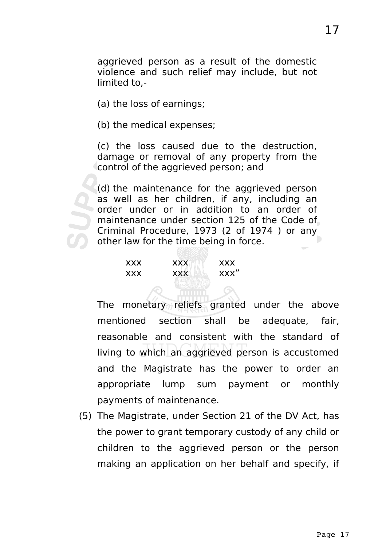aggrieved person as a result of the domestic violence and such relief may include, but not limited to,-

(a) the loss of earnings;

(b) the medical expenses;

(c) the loss caused due to the destruction, damage or removal of any property from the control of the aggrieved person; and

(d) the maintenance for the aggrieved person as well as her children, if any, including an order under or in addition to an order of maintenance under section 125 of the Code of Criminal Procedure, 1973 (2 of 1974 ) or any other law for the time being in force.

| <b>XXX</b> | <b>XXX</b> | <b>XXX</b> |
|------------|------------|------------|
| <b>XXX</b> | <b>XXX</b> | XXX"       |

The monetary reliefs granted under the above mentioned section shall be adequate, fair, reasonable and consistent with the standard of living to which an aggrieved person is accustomed and the Magistrate has the power to order an appropriate lump sum payment or monthly payments of maintenance.

(5) The Magistrate, under Section 21 of the DV Act, has the power to grant temporary custody of any child or children to the aggrieved person or the person making an application on her behalf and specify, if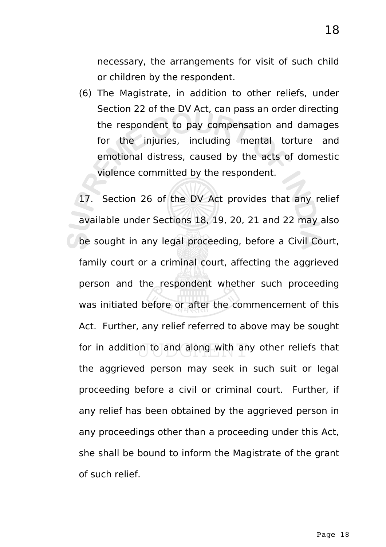necessary, the arrangements for visit of such child or children by the respondent.

- (6) The Magistrate, in addition to other reliefs, under Section 22 of the DV Act, can pass an order directing the respondent to pay compensation and damages for the injuries, including mental torture and emotional distress, caused by the acts of domestic violence committed by the respondent.
- 17. Section 26 of the DV Act provides that any relief available under Sections 18, 19, 20, 21 and 22 may also be sought in any legal proceeding, before a Civil Court, family court or a criminal court, affecting the aggrieved person and the respondent whether such proceeding was initiated before or after the commencement of this Act. Further, any relief referred to above may be sought for in addition to and along with any other reliefs that the aggrieved person may seek in such suit or legal proceeding before a civil or criminal court. Further, if any relief has been obtained by the aggrieved person in any proceedings other than a proceeding under this Act, she shall be bound to inform the Magistrate of the grant of such relief.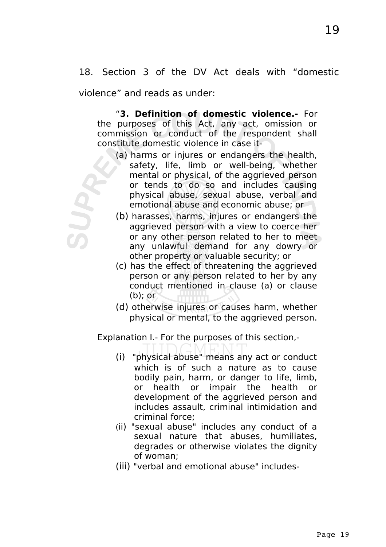18. Section 3 of the DV Act deals with "domestic

violence" and reads as under:

"**3. Definition of domestic violence.-** For the purposes of this Act, any act, omission or commission or conduct of the respondent shall constitute domestic violence in case it-

- (a) harms or injures or endangers the health, safety, life, limb or well-being, whether mental or physical, of the aggrieved person or tends to do so and includes causing physical abuse, sexual abuse, verbal and emotional abuse and economic abuse; or
- (b) harasses, harms, injures or endangers the aggrieved person with a view to coerce her or any other person related to her to meet any unlawful demand for any dowry or other property or valuable security; or
- (c) has the effect of threatening the aggrieved person or any person related to her by any conduct mentioned in clause (a) or clause  $(b)$ ; or
- (d) otherwise injures or causes harm, whether physical or mental, to the aggrieved person.

Explanation I.- For the purposes of this section,-

- (i) "physical abuse" means any act or conduct which is of such a nature as to cause bodily pain, harm, or danger to life, limb, or health or impair the health or development of the aggrieved person and includes assault, criminal intimidation and criminal force;
- (ii) "sexual abuse" includes any conduct of a sexual nature that abuses, humiliates, degrades or otherwise violates the dignity of woman;
- (iii) "verbal and emotional abuse" includes-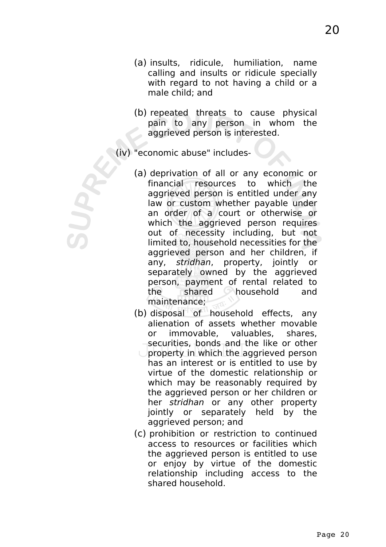- (a) insults, ridicule, humiliation, name calling and insults or ridicule specially with regard to not having a child or a male child; and
- (b) repeated threats to cause physical pain to any person in whom the aggrieved person is interested.
- (iv) "economic abuse" includes-
	- (a) deprivation of all or any economic or financial resources to which the aggrieved person is entitled under any law or custom whether payable under an order of a court or otherwise or which the aggrieved person requires out of necessity including, but not limited to, household necessities for the aggrieved person and her children, if any, stridhan, property, jointly or separately owned by the aggrieved person, payment of rental related to the shared household and maintenance;
	- (b) disposal of household effects, any alienation of assets whether movable or immovable, valuables, shares, securities, bonds and the like or other property in which the aggrieved person has an interest or is entitled to use by virtue of the domestic relationship or which may be reasonably required by the aggrieved person or her children or her stridhan or any other property jointly or separately held by the aggrieved person; and
	- (c) prohibition or restriction to continued access to resources or facilities which the aggrieved person is entitled to use or enjoy by virtue of the domestic relationship including access to the shared household.

20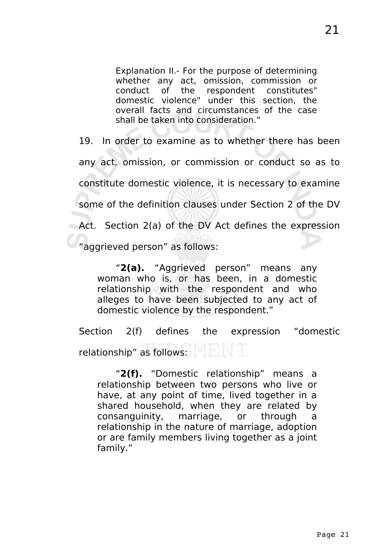Explanation II.- For the purpose of determining whether any act, omission, commission or conduct of the respondent constitutes" domestic violence" under this section, the overall facts and circumstances of the case shall be taken into consideration."

19. In order to examine as to whether there has been any act, omission, or commission or conduct so as to constitute domestic violence, it is necessary to examine some of the definition clauses under Section 2 of the DV Act. Section 2(a) of the DV Act defines the expression "aggrieved person" as follows:

"**2(a).** "Aggrieved person" means any woman who is, or has been, in a domestic relationship with the respondent and who alleges to have been subjected to any act of domestic violence by the respondent."

Section 2(f) defines the expression "domestic relationship" as follows:

"**2(f).** "Domestic relationship" means a relationship between two persons who live or have, at any point of time, lived together in a shared household, when they are related by consanguinity, marriage, or through a relationship in the nature of marriage, adoption or are family members living together as a joint family."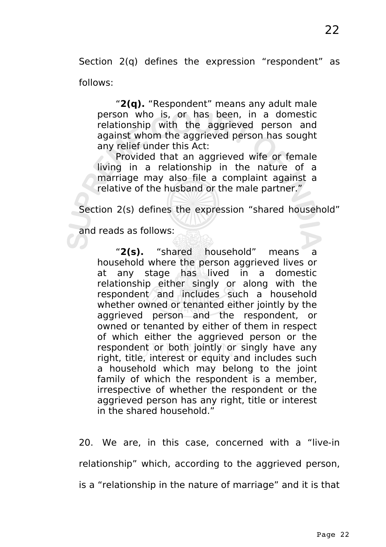Section 2(q) defines the expression "respondent" as follows:

"**2(q).** "Respondent" means any adult male person who is, or has been, in a domestic relationship with the aggrieved person and against whom the aggrieved person has sought any relief under this Act:

Provided that an aggrieved wife or female living in a relationship in the nature of a marriage may also file a complaint against a relative of the husband or the male partner."

Section 2(s) defines the expression "shared household"

and reads as follows:

"**2(s).** "shared household" means a household where the person aggrieved lives or at any stage has lived in a domestic relationship either singly or along with the respondent and includes such a household whether owned or tenanted either jointly by the aggrieved person and the respondent, or owned or tenanted by either of them in respect of which either the aggrieved person or the respondent or both jointly or singly have any right, title, interest or equity and includes such a household which may belong to the joint family of which the respondent is a member, irrespective of whether the respondent or the aggrieved person has any right, title or interest in the shared household."

20. We are, in this case, concerned with a "live-in relationship" which, according to the aggrieved person, is a "relationship in the nature of marriage" and it is that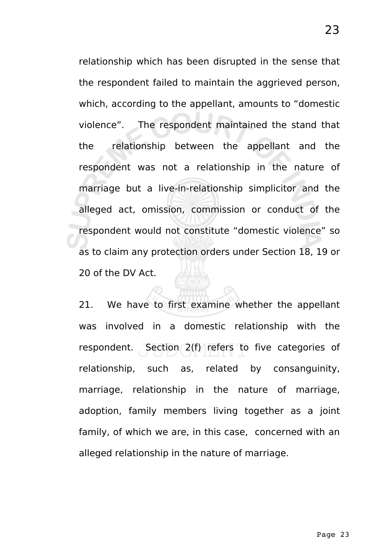relationship which has been disrupted in the sense that the respondent failed to maintain the aggrieved person, which, according to the appellant, amounts to "domestic violence". The respondent maintained the stand that the relationship between the appellant and the respondent was not a relationship in the nature of marriage but a live-in-relationship simplicitor and the alleged act, omission, commission or conduct of the respondent would not constitute "domestic violence" so as to claim any protection orders under Section 18, 19 or 20 of the DV Act.

21. We have to first examine whether the appellant was involved in a domestic relationship with the respondent. Section 2(f) refers to five categories of relationship, such as, related by consanguinity, marriage, relationship in the nature of marriage, adoption, family members living together as a joint family, of which we are, in this case, concerned with an alleged relationship in the nature of marriage.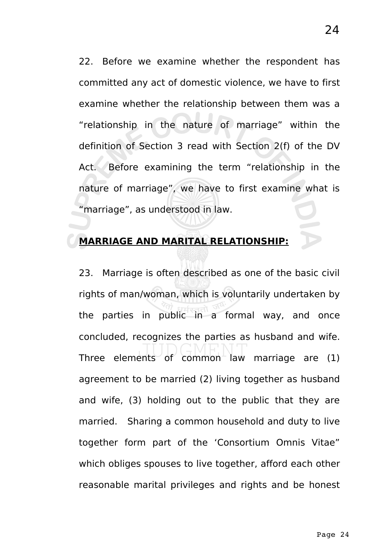22. Before we examine whether the respondent has committed any act of domestic violence, we have to first examine whether the relationship between them was a "relationship in the nature of marriage" within the definition of Section 3 read with Section 2(f) of the DV Act. Before examining the term "relationship in the nature of marriage", we have to first examine what is "marriage", as understood in law.

### **MARRIAGE AND MARITAL RELATIONSHIP:**

23. Marriage is often described as one of the basic civil rights of man/woman, which is voluntarily undertaken by the parties in public in a formal way, and once concluded, recognizes the parties as husband and wife. Three elements of common law marriage are  $(1)$ agreement to be married (2) living together as husband and wife, (3) holding out to the public that they are married. Sharing a common household and duty to live together form part of the 'Consortium Omnis Vitae" which obliges spouses to live together, afford each other reasonable marital privileges and rights and be honest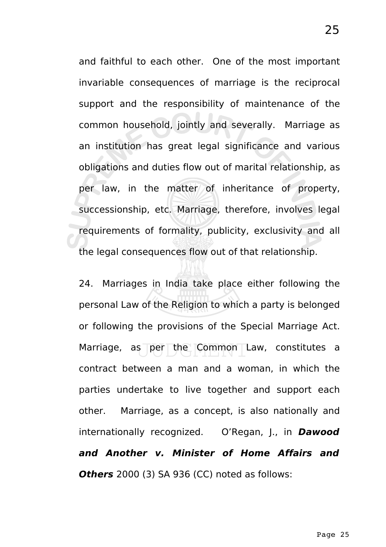and faithful to each other. One of the most important invariable consequences of marriage is the reciprocal support and the responsibility of maintenance of the common household, jointly and severally. Marriage as an institution has great legal significance and various obligations and duties flow out of marital relationship, as per law, in the matter of inheritance of property, successionship, etc. Marriage, therefore, involves legal requirements of formality, publicity, exclusivity and all the legal consequences flow out of that relationship.

24. Marriages in India take place either following the personal Law of the Religion to which a party is belonged or following the provisions of the Special Marriage Act. Marriage, as per the Common Law, constitutes a contract between a man and a woman, in which the parties undertake to live together and support each other. Marriage, as a concept, is also nationally and internationally recognized. O'Regan, J., in **Dawood and Another v. Minister of Home Affairs and Others** 2000 (3) SA 936 (CC) noted as follows: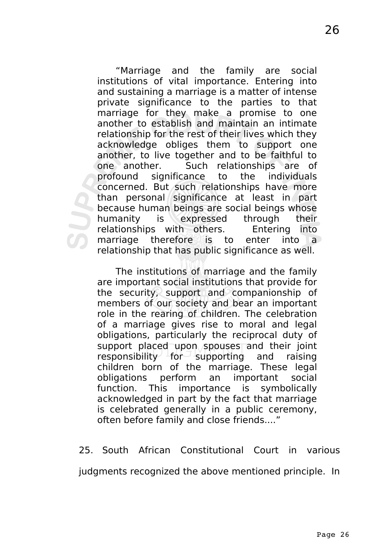"Marriage and the family are social institutions of vital importance. Entering into and sustaining a marriage is a matter of intense private significance to the parties to that marriage for they make a promise to one another to establish and maintain an intimate relationship for the rest of their lives which they acknowledge obliges them to support one another, to live together and to be faithful to one another. Such relationships are of profound significance to the individuals concerned. But such relationships have more than personal significance at least in part because human beings are social beings whose humanity is expressed through their relationships with others. Entering into marriage therefore is to enter into a relationship that has public significance as well.

The institutions of marriage and the family are important social institutions that provide for the security, support and companionship of members of our society and bear an important role in the rearing of children. The celebration of a marriage gives rise to moral and legal obligations, particularly the reciprocal duty of support placed upon spouses and their joint responsibility for supporting and raising children born of the marriage. These legal obligations perform an important social function. This importance is symbolically acknowledged in part by the fact that marriage is celebrated generally in a public ceremony, often before family and close friends...."

25. South African Constitutional Court in various

judgments recognized the above mentioned principle. In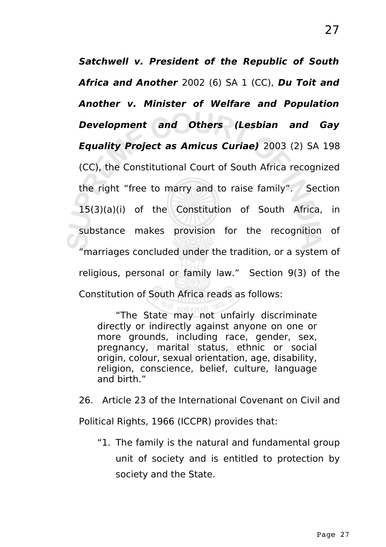**Satchwell v. President of the Republic of South Africa and Another** 2002 (6) SA 1 (CC), **Du Toit and Another v. Minister of Welfare and Population Development and Others (Lesbian and Gay Equality Project as Amicus Curiae)** 2003 (2) SA 198 (CC), the Constitutional Court of South Africa recognized the right "free to marry and to raise family". Section 15(3)(a)(i) of the Constitution of South Africa, in substance makes provision for the recognition of "marriages concluded under the tradition, or a system of religious, personal or family law." Section 9(3) of the Constitution of South Africa reads as follows:

"The State may not unfairly discriminate directly or indirectly against anyone on one or more grounds, including race, gender, sex, pregnancy, marital status, ethnic or social origin, colour, sexual orientation, age, disability, religion, conscience, belief, culture, language and birth."

26. Article 23 of the International Covenant on Civil and Political Rights, 1966 (ICCPR) provides that:

"1. The family is the natural and fundamental group unit of society and is entitled to protection by society and the State.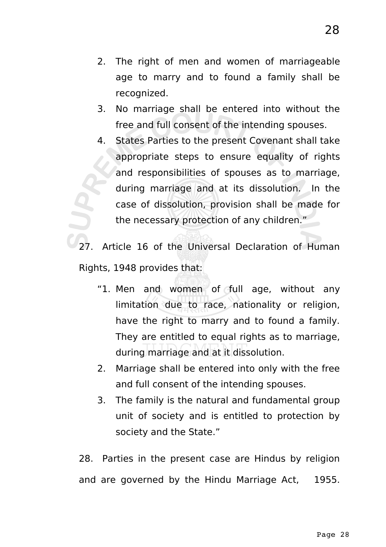- 2. The right of men and women of marriageable age to marry and to found a family shall be recognized.
- 3. No marriage shall be entered into without the free and full consent of the intending spouses.
- 4. States Parties to the present Covenant shall take appropriate steps to ensure equality of rights and responsibilities of spouses as to marriage, during marriage and at its dissolution. In the case of dissolution, provision shall be made for the necessary protection of any children."

Article 16 of the Universal Declaration of Human Rights, 1948 provides that:

- "1. Men and women of full age, without any limitation due to race, nationality or religion, have the right to marry and to found a family. They are entitled to equal rights as to marriage, during marriage and at it dissolution.
- 2. Marriage shall be entered into only with the free and full consent of the intending spouses.
- 3. The family is the natural and fundamental group unit of society and is entitled to protection by society and the State."

28. Parties in the present case are Hindus by religion and are governed by the Hindu Marriage Act, 1955.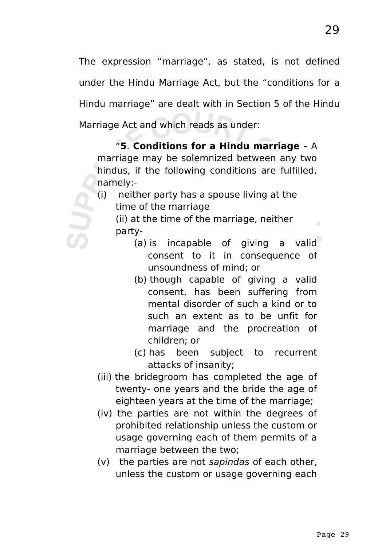The expression "marriage", as stated, is not defined under the Hindu Marriage Act, but the "conditions for a Hindu marriage" are dealt with in Section 5 of the Hindu Marriage Act and which reads as under:

"**5**. **Conditions for a Hindu marriage -** A marriage may be solemnized between any two hindus, if the following conditions are fulfilled, namely:-

(i) neither party has a spouse living at the time of the marriage

(ii) at the time of the marriage, neither party-

- (a) is incapable of giving a valid consent to it in consequence of unsoundness of mind; or
- (b) though capable of giving a valid consent, has been suffering from mental disorder of such a kind or to such an extent as to be unfit for marriage and the procreation of children; or
- (c) has been subject to recurrent attacks of insanity;
- (iii) the bridegroom has completed the age of twenty- one years and the bride the age of eighteen years at the time of the marriage;
- (iv) the parties are not within the degrees of prohibited relationship unless the custom or usage governing each of them permits of a marriage between the two;
- (v) the parties are not sapindas of each other, unless the custom or usage governing each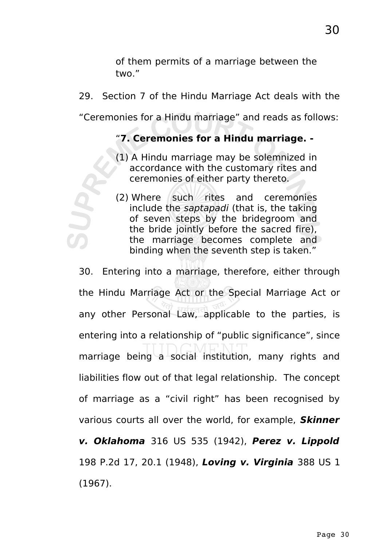of them permits of a marriage between the two."

29. Section 7 of the Hindu Marriage Act deals with the

"Ceremonies for a Hindu marriage" and reads as follows:

# "**7. Ceremonies for a Hindu marriage. -**

(1) A Hindu marriage may be solemnized in accordance with the customary rites and ceremonies of either party thereto.

(2) Where such rites and ceremonies include the saptapadi (that is, the taking of seven steps by the bridegroom and the bride jointly before the sacred fire), the marriage becomes complete and binding when the seventh step is taken."

30. Entering into a marriage, therefore, either through the Hindu Marriage Act or the Special Marriage Act or any other Personal Law, applicable to the parties, is entering into a relationship of "public significance", since marriage being  $a$  social institution, many rights and liabilities flow out of that legal relationship. The concept of marriage as a "civil right" has been recognised by various courts all over the world, for example, **Skinner v. Oklahoma** 316 US 535 (1942), **Perez v. Lippold** 198 P.2d 17, 20.1 (1948), **Loving v. Virginia** 388 US 1 (1967).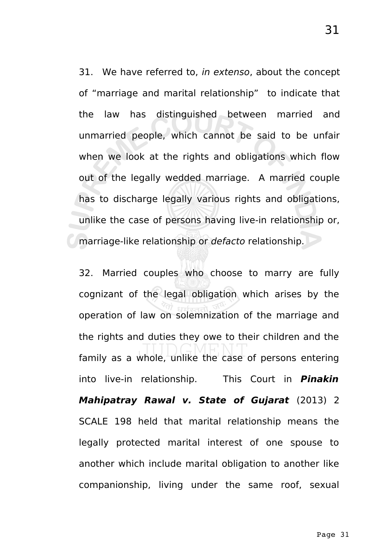31. We have referred to, in extenso, about the concept of "marriage and marital relationship" to indicate that the law has distinguished between married and unmarried people, which cannot be said to be unfair when we look at the rights and obligations which flow out of the legally wedded marriage. A married couple has to discharge legally various rights and obligations, unlike the case of persons having live-in relationship or, marriage-like relationship or defacto relationship.

32. Married couples who choose to marry are fully cognizant of the legal obligation which arises by the operation of law on solemnization of the marriage and the rights and duties they owe to their children and the family as a whole, unlike the case of persons entering into live-in relationship. This Court in **Pinakin Mahipatray Rawal v. State of Gujarat** (2013) 2 SCALE 198 held that marital relationship means the legally protected marital interest of one spouse to another which include marital obligation to another like companionship, living under the same roof, sexual

31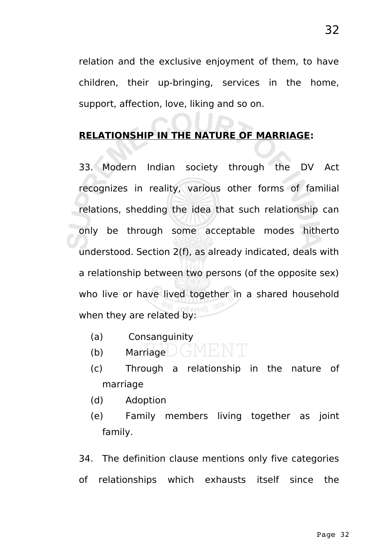relation and the exclusive enjoyment of them, to have children, their up-bringing, services in the home, support, affection, love, liking and so on.

 $\sim$ 

## **RELATIONSHIP IN THE NATURE OF MARRIAGE:**

33. Modern Indian society through the DV Act recognizes in reality, various other forms of familial relations, shedding the idea that such relationship can only be through some acceptable modes hitherto understood. Section 2(f), as already indicated, deals with a relationship between two persons (of the opposite sex) who live or have lived together in a shared household when they are related by:

- (a) Consanguinity
- (b) Marriage  $\int_{-\infty}^{\infty}$  Marriage  $\int_{-\infty}^{\infty}$
- (c) Through a relationship in the nature of marriage
- (d) Adoption
- (e) Family members living together as joint family.

34. The definition clause mentions only five categories of relationships which exhausts itself since the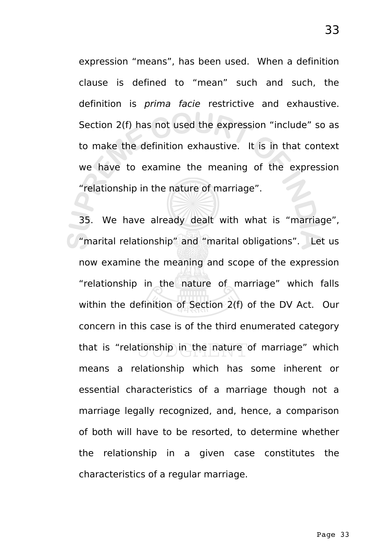expression "means", has been used. When a definition clause is defined to "mean" such and such, the definition is prima facie restrictive and exhaustive. Section 2(f) has not used the expression "include" so as to make the definition exhaustive. It is in that context we have to examine the meaning of the expression "relationship in the nature of marriage".

35. We have already dealt with what is "marriage", "marital relationship" and "marital obligations". Let us now examine the meaning and scope of the expression "relationship in the nature of marriage" which falls within the definition of Section 2(f) of the DV Act. Our concern in this case is of the third enumerated category that is "relationship in the nature of marriage" which means a relationship which has some inherent or essential characteristics of a marriage though not a marriage legally recognized, and, hence, a comparison of both will have to be resorted, to determine whether the relationship in a given case constitutes the characteristics of a regular marriage.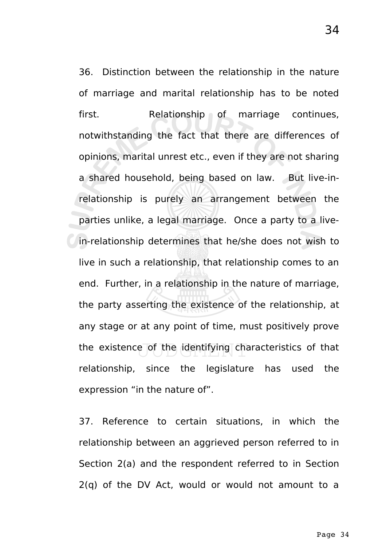36. Distinction between the relationship in the nature of marriage and marital relationship has to be noted first. Relationship of marriage continues, notwithstanding the fact that there are differences of opinions, marital unrest etc., even if they are not sharing a shared household, being based on law. But live-inrelationship is purely an arrangement between the parties unlike, a legal marriage. Once a party to a livein-relationship determines that he/she does not wish to live in such a relationship, that relationship comes to an end. Further, in a relationship in the nature of marriage, the party asserting the existence of the relationship, at any stage or at any point of time, must positively prove the existence of the identifying characteristics of that relationship, since the legislature has used the expression "in the nature of".

37. Reference to certain situations, in which the relationship between an aggrieved person referred to in Section 2(a) and the respondent referred to in Section 2(q) of the DV Act, would or would not amount to a

34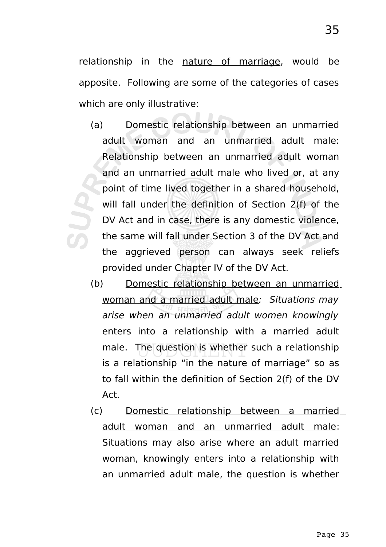relationship in the nature of marriage, would be apposite. Following are some of the categories of cases which are only illustrative:

- (a) Domestic relationship between an unmarried adult woman and an unmarried adult male: Relationship between an unmarried adult woman and an unmarried adult male who lived or, at any point of time lived together in a shared household, will fall under the definition of Section 2(f) of the DV Act and in case, there is any domestic violence, the same will fall under Section 3 of the DV Act and the aggrieved person can always seek reliefs provided under Chapter IV of the DV Act.
	- (b) Domestic relationship between an unmarried woman and a married adult male: Situations may arise when an unmarried adult women knowingly enters into a relationship with a married adult male. The question is whether such a relationship is a relationship "in the nature of marriage" so as to fall within the definition of Section 2(f) of the DV Act.
	- (c) Domestic relationship between a married adult woman and an unmarried adult male: Situations may also arise where an adult married woman, knowingly enters into a relationship with an unmarried adult male, the question is whether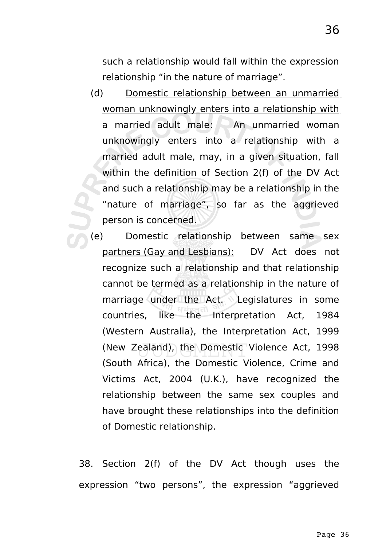36

such a relationship would fall within the expression relationship "in the nature of marriage".

- (d) Domestic relationship between an unmarried woman unknowingly enters into a relationship with a married adult male:  $\triangle$  An unmarried woman unknowingly enters into a relationship with a married adult male, may, in a given situation, fall within the definition of Section 2(f) of the DV Act and such a relationship may be a relationship in the "nature of marriage", so far as the aggrieved person is concerned.
- (e) Domestic relationship between same sex partners (Gay and Lesbians): DV Act does not recognize such a relationship and that relationship cannot be termed as a relationship in the nature of marriage under the Act. Legislatures in some countries, like the Interpretation Act, 1984 (Western Australia), the Interpretation Act, 1999 (New Zealand), the Domestic Violence Act, 1998 (South Africa), the Domestic Violence, Crime and Victims Act, 2004 (U.K.), have recognized the relationship between the same sex couples and have brought these relationships into the definition of Domestic relationship.

38. Section 2(f) of the DV Act though uses the expression "two persons", the expression "aggrieved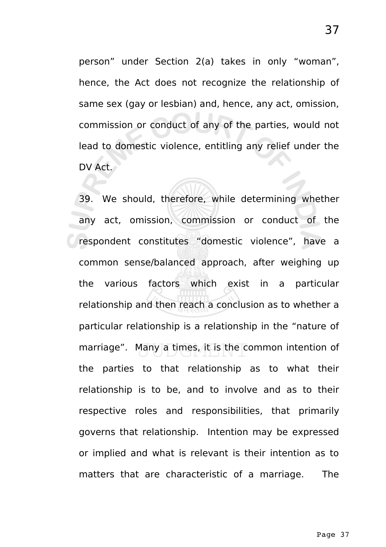person" under Section 2(a) takes in only "woman", hence, the Act does not recognize the relationship of same sex (gay or lesbian) and, hence, any act, omission, commission or conduct of any of the parties, would not lead to domestic violence, entitling any relief under the DV Act.

39. We should, therefore, while determining whether any act, omission, commission or conduct of the respondent constitutes "domestic violence", have a common sense/balanced approach, after weighing up the various factors which exist in a particular relationship and then reach a conclusion as to whether a particular relationship is a relationship in the "nature of marriage". Many a times, it is the common intention of the parties to that relationship as to what their relationship is to be, and to involve and as to their respective roles and responsibilities, that primarily governs that relationship. Intention may be expressed or implied and what is relevant is their intention as to matters that are characteristic of a marriage. The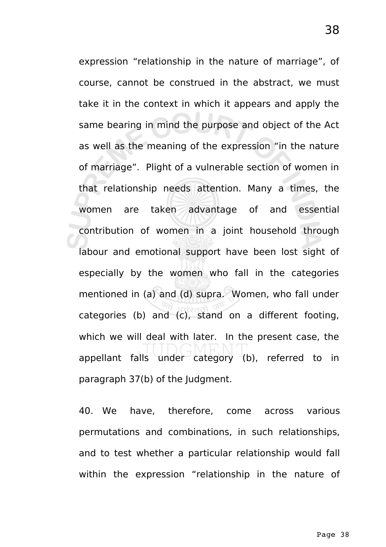expression "relationship in the nature of marriage", of course, cannot be construed in the abstract, we must take it in the context in which it appears and apply the same bearing in mind the purpose and object of the Act as well as the meaning of the expression "in the nature of marriage". Plight of a vulnerable section of women in that relationship needs attention. Many a times, the women are taken advantage of and essential contribution of women in a joint household through labour and emotional support have been lost sight of especially by the women who fall in the categories mentioned in (a) and (d) supra. Women, who fall under categories (b) and (c), stand on a different footing, which we will deal with later. In the present case, the appellant falls under category  $(b)$ , referred to in paragraph 37(b) of the Judgment.

40. We have, therefore, come across various permutations and combinations, in such relationships, and to test whether a particular relationship would fall within the expression "relationship in the nature of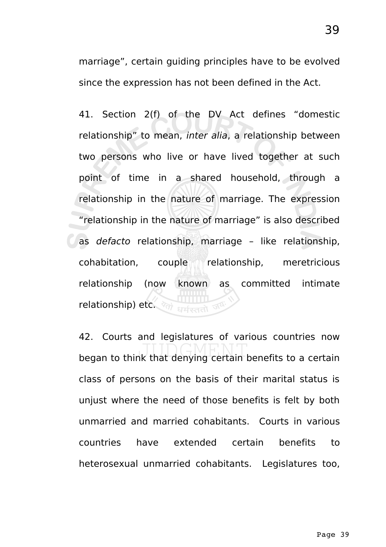marriage", certain guiding principles have to be evolved since the expression has not been defined in the Act.

41. Section 2(f) of the DV Act defines "domestic relationship" to mean, inter alia, a relationship between two persons who live or have lived together at such point of time in a shared household, through a relationship in the nature of marriage. The expression "relationship in the nature of marriage" is also described as defacto relationship, marriage – like relationship, cohabitation, couple relationship, meretricious relationship (now known as committed intimate relationship) etc. (27) suitered on

42. Courts and legislatures of various countries now began to think that denying certain benefits to a certain class of persons on the basis of their marital status is unjust where the need of those benefits is felt by both unmarried and married cohabitants. Courts in various countries have extended certain benefits to heterosexual unmarried cohabitants. Legislatures too,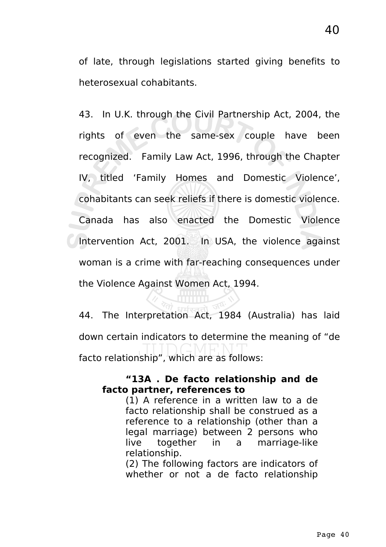of late, through legislations started giving benefits to heterosexual cohabitants.

43. In U.K. through the Civil Partnership Act, 2004, the rights of even the same-sex couple have been recognized. Family Law Act, 1996, through the Chapter IV, titled 'Family Homes and Domestic Violence', cohabitants can seek reliefs if there is domestic violence. Canada has also enacted the Domestic Violence Intervention Act, 2001. In USA, the violence against woman is a crime with far-reaching consequences under the Violence Against Women Act, 1994.

44. The Interpretation Act, 1984 (Australia) has laid down certain indicators to determine the meaning of "de facto relationship", which are as follows:

#### **"13A . De facto relationship and de facto partner, references to**

(1) A reference in a written law to a de facto relationship shall be construed as a reference to a relationship (other than a legal marriage) between 2 persons who live together in a marriage-like relationship.

(2) The following factors are indicators of whether or not a de facto relationship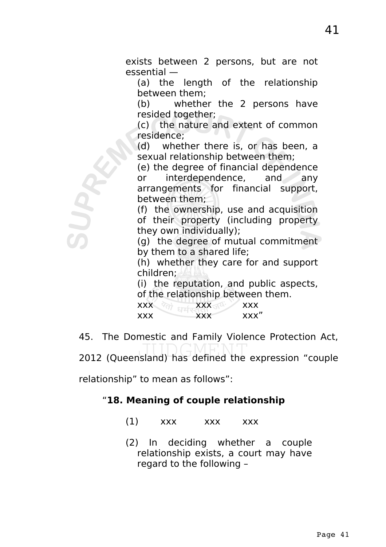exists between 2 persons, but are not essential —

(a) the length of the relationship between them;

(b) whether the 2 persons have resided together;

(c) the nature and extent of common residence;

(d) whether there is, or has been, a sexual relationship between them;

(e) the degree of financial dependence or interdependence, and any arrangements for financial support, between them;

(f) the ownership, use and acquisition of their property (including property they own individually);

(g) the degree of mutual commitment by them to a shared life;

(h) whether they care for and support children;

(i) the reputation, and public aspects, of the relationship between them.

| <b>XXX</b> | <b>XXX</b> | <b>XXX</b> |
|------------|------------|------------|
| <b>XXX</b> | XXX        | xxx"       |

45. The Domestic and Family Violence Protection Act, 2012 (Queensland) has defined the expression "couple

relationship" to mean as follows":

SUR

## "**18. Meaning of couple relationship**

- $(1)$  xxx xxx xxx
- (2) In deciding whether a couple relationship exists, a court may have regard to the following –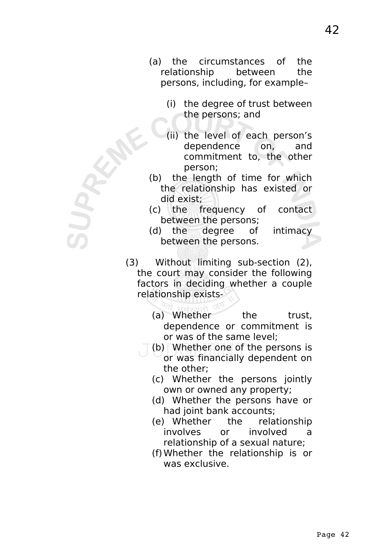- (a) the circumstances of the relationship between the persons, including, for example–
	- (i) the degree of trust between the persons; and
	- (ii) the level of each person's dependence on, and commitment to, the other person;
- (b) the length of time for which the relationship has existed or did exist;
- (c) the frequency of contact between the persons;
- (d) the degree of intimacy between the persons.
- (3) Without limiting sub-section (2), the court may consider the following factors in deciding whether a couple relationship exists-
	- (a) Whether the trust, dependence or commitment is or was of the same level;
	- (b) Whether one of the persons is or was financially dependent on the other;
		- (c) Whether the persons jointly own or owned any property;
		- (d) Whether the persons have or had joint bank accounts;
		- (e) Whether the relationship involves or involved a relationship of a sexual nature;
		- (f)Whether the relationship is or was exclusive.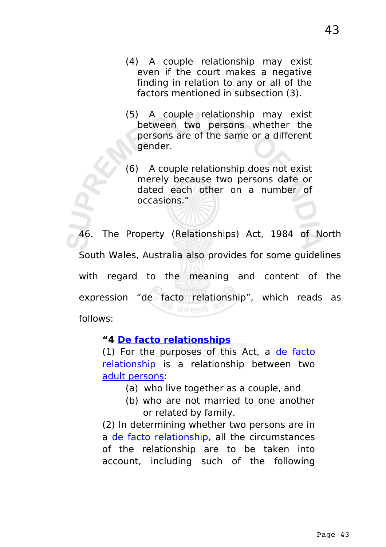- (4) A couple relationship may exist even if the court makes a negative finding in relation to any or all of the factors mentioned in subsection (3).
- (5) A couple relationship may exist between two persons whether the persons are of the same or a different gender.
- (6) A couple relationship does not exist merely because two persons date or dated each other on a number of occasions."

46. The Property (Relationships) Act, 1984 of North South Wales, Australia also provides for some guidelines with regard to the meaning and content of the expression "de facto relationship", which reads as धर्मरततो follows:

#### **"4 [De facto relationships](http://www.austlii.edu.au/au/legis/nsw/consol_act/pa1984298/s3.html#de_facto_relationship)**

(1) For the purposes of this Act, a [de facto](http://www.austlii.edu.au/au/legis/nsw/consol_act/pa1984298/s3.html#de_facto_relationship) [relationship](http://www.austlii.edu.au/au/legis/nsw/consol_act/pa1984298/s3.html#de_facto_relationship) is a relationship between two [adult persons:](http://www.austlii.edu.au/au/legis/nsw/consol_act/pa1984298/s3.html#adult_person)

- (a) who live together as a couple, and
- (b) who are not married to one another or related by family.

(2) In determining whether two persons are in a [de facto relationship,](http://www.austlii.edu.au/au/legis/nsw/consol_act/pa1984298/s3.html#de_facto_relationship) all the circumstances of the relationship are to be taken into account, including such of the following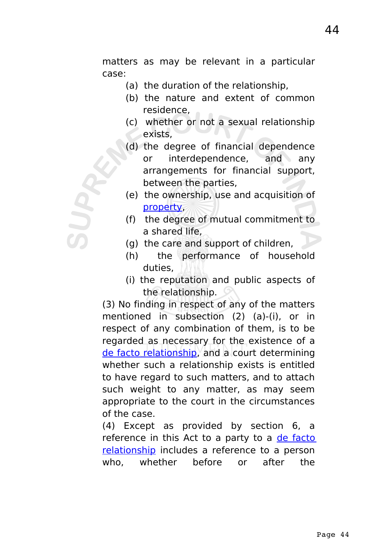matters as may be relevant in a particular case:

- (a) the duration of the relationship,
- (b) the nature and extent of common residence,
- (c) whether or not a sexual relationship exists,
- (d) the degree of financial dependence or interdependence, and any arrangements for financial support, between the parties,
- (e) the ownership, use and acquisition of [property,](http://www.austlii.edu.au/au/legis/nsw/consol_act/pa1984298/s3.html#property)
- (f) the degree of mutual commitment to a shared life,
- (g) the care and support of children,
- (h) the performance of household duties,
- (i) the reputation and public aspects of the relationship.

(3) No finding in respect of any of the matters mentioned in subsection (2) (a)-(i), or in respect of any combination of them, is to be regarded as necessary for the existence of a [de facto relationship,](http://www.austlii.edu.au/au/legis/nsw/consol_act/pa1984298/s3.html#de_facto_relationship) and a court determining whether such a relationship exists is entitled to have regard to such matters, and to attach such weight to any matter, as may seem appropriate to the court in the circumstances of the case.

(4) Except as provided by section 6, a reference in this Act to a party to a [de facto](http://www.austlii.edu.au/au/legis/nsw/consol_act/pa1984298/s3.html#de_facto_relationship) [relationship](http://www.austlii.edu.au/au/legis/nsw/consol_act/pa1984298/s3.html#de_facto_relationship) includes a reference to a person who, whether before or after the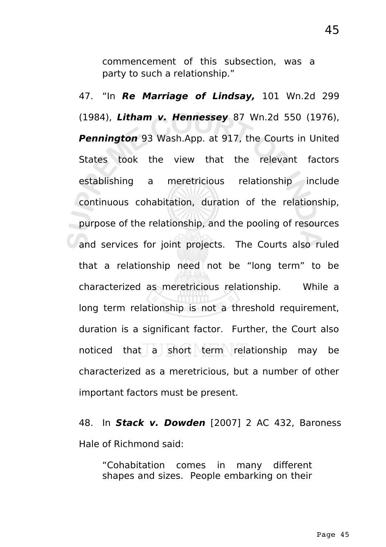commencement of this subsection, was a party to such a relationship."

47. "In **Re Marriage of Lindsay,** 101 Wn.2d 299 (1984), **Litham v. Hennessey** 87 Wn.2d 550 (1976), **Pennington** 93 Wash.App. at 917, the Courts in United States took the view that the relevant factors establishing a meretricious relationship include continuous cohabitation, duration of the relationship, purpose of the relationship, and the pooling of resources and services for joint projects. The Courts also ruled that a relationship need not be "long term" to be characterized as meretricious relationship. While a long term relationship is not a threshold requirement, duration is a significant factor. Further, the Court also noticed that  $a \succeq$  short term relationship may be characterized as a meretricious, but a number of other important factors must be present.

48. In **Stack v. Dowden** [2007] 2 AC 432, Baroness Hale of Richmond said:

"Cohabitation comes in many different shapes and sizes. People embarking on their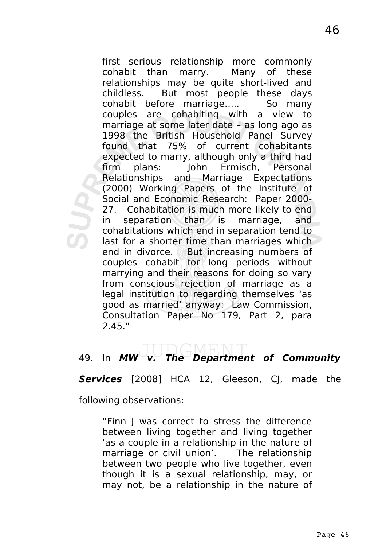first serious relationship more commonly cohabit than marry. Many of these relationships may be quite short-lived and childless. But most people these days cohabit before marriage….. So many couples are cohabiting with a view to marriage at some later date – as long ago as 1998 the British Household Panel Survey found that 75% of current cohabitants expected to marry, although only a third had firm plans: John Ermisch, Personal Relationships and Marriage Expectations (2000) Working Papers of the Institute of Social and Economic Research: Paper 2000- 27. Cohabitation is much more likely to end in separation than is marriage, and cohabitations which end in separation tend to last for a shorter time than marriages which end in divorce. But increasing numbers of couples cohabit for long periods without marrying and their reasons for doing so vary from conscious rejection of marriage as a legal institution to regarding themselves 'as good as married' anyway: Law Commission, Consultation Paper No 179, Part 2, para 2.45."

# 49. In **MW v. The Department of Community**

**Services** [2008] HCA 12, Gleeson, CJ, made the

following observations:

"Finn J was correct to stress the difference between living together and living together 'as a couple in a relationship in the nature of marriage or civil union'. The relationship between two people who live together, even though it is a sexual relationship, may, or may not, be a relationship in the nature of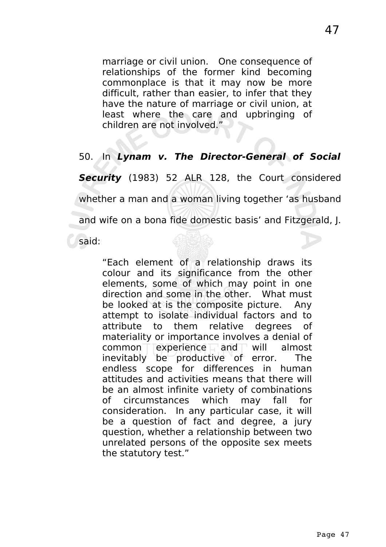marriage or civil union. One consequence of relationships of the former kind becoming commonplace is that it may now be more difficult, rather than easier, to infer that they have the nature of marriage or civil union, at least where the care and upbringing of children are not involved."

#### 50. In **Lynam v. The Director-General of Social**

**Security** (1983) 52 ALR 128, the Court considered whether a man and a woman living together 'as husband and wife on a bona fide domestic basis' and Fitzgerald, J.

said:

"Each element of a relationship draws its colour and its significance from the other elements, some of which may point in one direction and some in the other. What must be looked at is the composite picture. Any attempt to isolate individual factors and to attribute to them relative degrees of materiality or importance involves a denial of  $common$  experience and will almost inevitably be productive of error. The endless scope for differences in human attitudes and activities means that there will be an almost infinite variety of combinations of circumstances which may fall for consideration. In any particular case, it will be a question of fact and degree, a jury question, whether a relationship between two unrelated persons of the opposite sex meets the statutory test."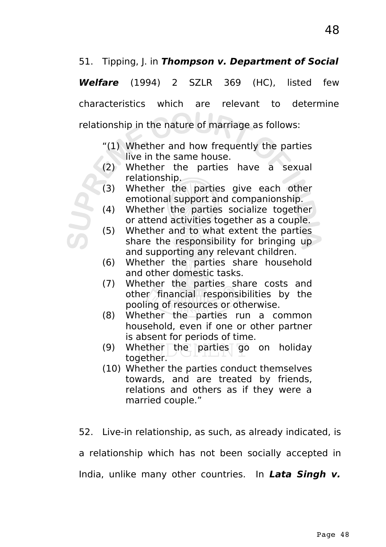### 51. Tipping, J. in **Thompson v. Department of Social**

**Welfare** (1994) 2 SZLR 369 (HC), listed few characteristics which are relevant to determine relationship in the nature of marriage as follows:

- "(1) Whether and how frequently the parties live in the same house.
- (2) Whether the parties have a sexual relationship.
- (3) Whether the parties give each other emotional support and companionship.
- (4) Whether the parties socialize together or attend activities together as a couple.
- (5) Whether and to what extent the parties share the responsibility for bringing up and supporting any relevant children.
- (6) Whether the parties share household and other domestic tasks.
- (7) Whether the parties share costs and other financial responsibilities by the pooling of resources or otherwise.
- (8) Whether the parties run a common household, even if one or other partner is absent for periods of time.
- (9) Whether the parties go on holiday together.
- (10) Whether the parties conduct themselves towards, and are treated by friends, relations and others as if they were a married couple."

52. Live-in relationship, as such, as already indicated, is a relationship which has not been socially accepted in India, unlike many other countries. In **Lata Singh v.**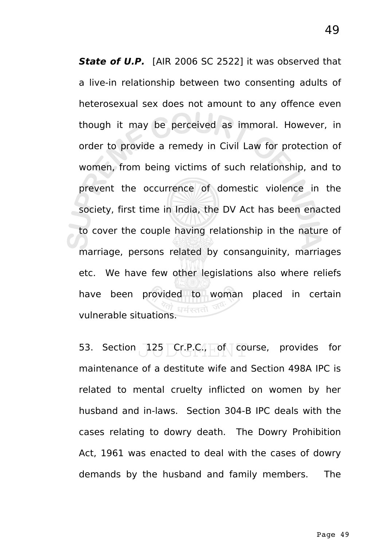**State of U.P.** [AIR 2006 SC 2522] it was observed that a live-in relationship between two consenting adults of heterosexual sex does not amount to any offence even though it may be perceived as immoral. However, in order to provide a remedy in Civil Law for protection of women, from being victims of such relationship, and to prevent the occurrence of domestic violence in the society, first time in India, the DV Act has been enacted to cover the couple having relationship in the nature of marriage, persons related by consanguinity, marriages etc. We have few other legislations also where reliefs have been provided to woman placed in certain vulnerable situations.

53. Section  $125$  Cr.P.C.,  $\Box$  of course, provides for maintenance of a destitute wife and Section 498A IPC is related to mental cruelty inflicted on women by her husband and in-laws. Section 304-B IPC deals with the cases relating to dowry death. The Dowry Prohibition Act, 1961 was enacted to deal with the cases of dowry demands by the husband and family members. The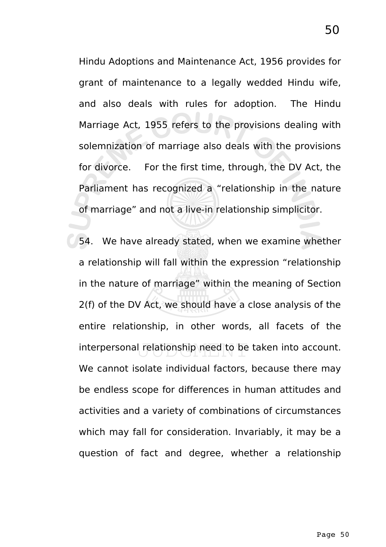Hindu Adoptions and Maintenance Act, 1956 provides for grant of maintenance to a legally wedded Hindu wife, and also deals with rules for adoption. The Hindu Marriage Act, 1955 refers to the provisions dealing with solemnization of marriage also deals with the provisions for divorce. For the first time, through, the DV Act, the Parliament has recognized a "relationship in the nature of marriage" and not a live-in relationship simplicitor.

54. We have already stated, when we examine whether a relationship will fall within the expression "relationship in the nature of marriage" within the meaning of Section 2(f) of the DV Act, we should have a close analysis of the entire relationship, in other words, all facets of the interpersonal relationship need to be taken into account. We cannot isolate individual factors, because there may be endless scope for differences in human attitudes and activities and a variety of combinations of circumstances which may fall for consideration. Invariably, it may be a question of fact and degree, whether a relationship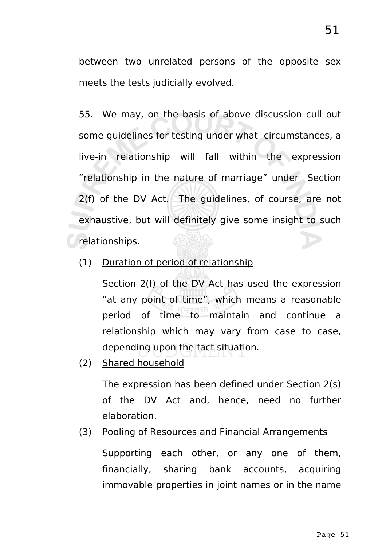between two unrelated persons of the opposite sex meets the tests judicially evolved.

55. We may, on the basis of above discussion cull out some guidelines for testing under what circumstances, a live-in relationship will fall within the expression "relationship in the nature of marriage" under Section 2(f) of the DV Act. The guidelines, of course, are not exhaustive, but will definitely give some insight to such relationships.

(1) Duration of period of relationship

Section 2(f) of the DV Act has used the expression "at any point of time", which means a reasonable period of time to maintain and continue a relationship which may vary from case to case, depending upon the fact situation.

(2) Shared household

The expression has been defined under Section 2(s) of the DV Act and, hence, need no further elaboration.

(3) Pooling of Resources and Financial Arrangements

Supporting each other, or any one of them, financially, sharing bank accounts, acquiring immovable properties in joint names or in the name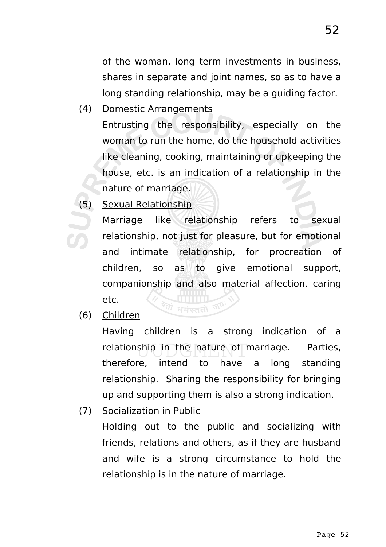of the woman, long term investments in business, shares in separate and joint names, so as to have a long standing relationship, may be a guiding factor.

(4) Domestic Arrangements

Entrusting the responsibility, especially on the woman to run the home, do the household activities like cleaning, cooking, maintaining or upkeeping the house, etc. is an indication of a relationship in the nature of marriage.

(5) Sexual Relationship

Marriage like relationship refers to sexual relationship, not just for pleasure, but for emotional and intimate relationship, for procreation of children, so as to give emotional support, companionship and also material affection, caring etc.  $\leftrightarrow$ धर्मरततो जय

(6) Children

Having children is a strong indication of a relationship in the nature of marriage. Parties, therefore, intend to have a long standing relationship. Sharing the responsibility for bringing up and supporting them is also a strong indication.

(7) Socialization in Public

Holding out to the public and socializing with friends, relations and others, as if they are husband and wife is a strong circumstance to hold the relationship is in the nature of marriage.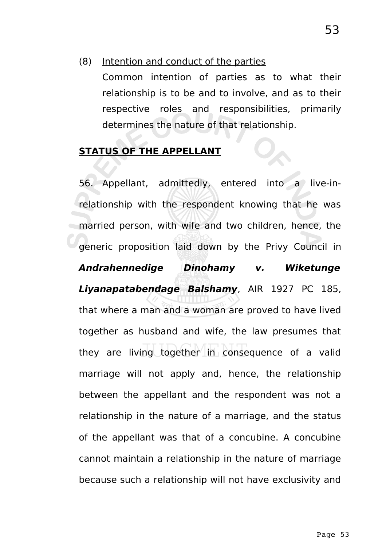Common intention of parties as to what their relationship is to be and to involve, and as to their respective roles and responsibilities, primarily determines the nature of that relationship.

# **STATUS OF THE APPELLANT**

56. Appellant, admittedly, entered into a live-inrelationship with the respondent knowing that he was married person, with wife and two children, hence, the generic proposition laid down by the Privy Council in **Andrahennedige Dinohamy v. Wiketunge Liyanapatabendage Balshamy**, AIR 1927 PC 185, that where a man and a woman are proved to have lived together as husband and wife, the law presumes that they are living together in consequence of a valid marriage will not apply and, hence, the relationship between the appellant and the respondent was not a relationship in the nature of a marriage, and the status of the appellant was that of a concubine. A concubine cannot maintain a relationship in the nature of marriage because such a relationship will not have exclusivity and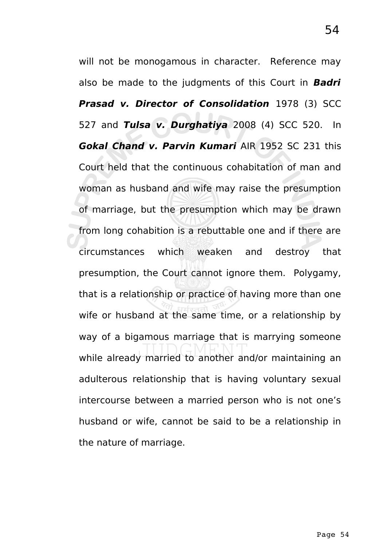will not be monogamous in character. Reference may also be made to the judgments of this Court in **Badri Prasad v. Director of Consolidation** 1978 (3) SCC 527 and **Tulsa v. Durghatiya** 2008 (4) SCC 520. In **Gokal Chand v. Parvin Kumari** AIR 1952 SC 231 this Court held that the continuous cohabitation of man and woman as husband and wife may raise the presumption of marriage, but the presumption which may be drawn from long cohabition is a rebuttable one and if there are circumstances which weaken and destroy that presumption, the Court cannot ignore them. Polygamy, that is a relationship or practice of having more than one wife or husband at the same time, or a relationship by way of a bigamous marriage that is marrying someone while already married to another and/or maintaining an adulterous relationship that is having voluntary sexual intercourse between a married person who is not one's husband or wife, cannot be said to be a relationship in the nature of marriage.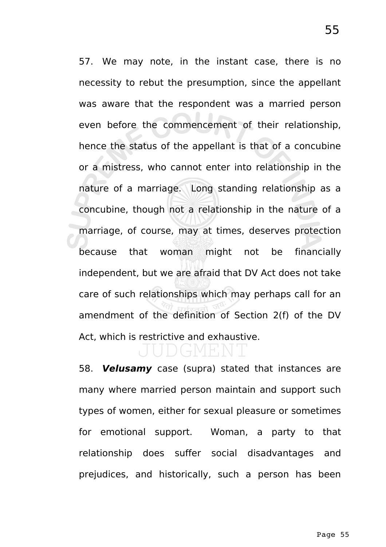57. We may note, in the instant case, there is no necessity to rebut the presumption, since the appellant was aware that the respondent was a married person even before the commencement of their relationship, hence the status of the appellant is that of a concubine or a mistress, who cannot enter into relationship in the nature of a marriage. Long standing relationship as a concubine, though not a relationship in the nature of a marriage, of course, may at times, deserves protection because that woman might not be financially independent, but we are afraid that DV Act does not take care of such relationships which may perhaps call for an amendment of the definition of Section 2(f) of the DV Act, which is restrictive and exhaustive.

# 4 FEND

58. **Velusamy** case (supra) stated that instances are many where married person maintain and support such types of women, either for sexual pleasure or sometimes for emotional support. Woman, a party to that relationship does suffer social disadvantages and prejudices, and historically, such a person has been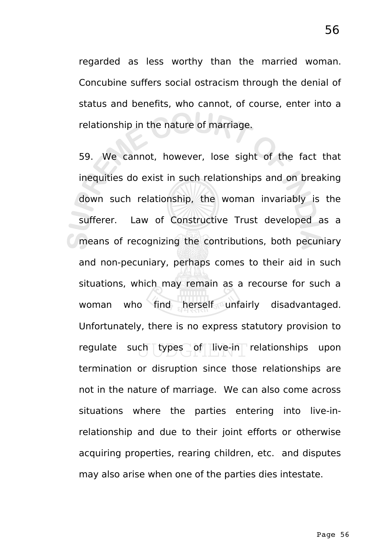regarded as less worthy than the married woman. Concubine suffers social ostracism through the denial of status and benefits, who cannot, of course, enter into a relationship in the nature of marriage.

59. We cannot, however, lose sight of the fact that inequities do exist in such relationships and on breaking down such relationship, the woman invariably is the sufferer. Law of Constructive Trust developed as a means of recognizing the contributions, both pecuniary and non-pecuniary, perhaps comes to their aid in such situations, which may remain as a recourse for such a woman who find herself unfairly disadvantaged. Unfortunately, there is no express statutory provision to regulate such types of live-in relationships upon termination or disruption since those relationships are not in the nature of marriage. We can also come across situations where the parties entering into live-inrelationship and due to their joint efforts or otherwise acquiring properties, rearing children, etc. and disputes may also arise when one of the parties dies intestate.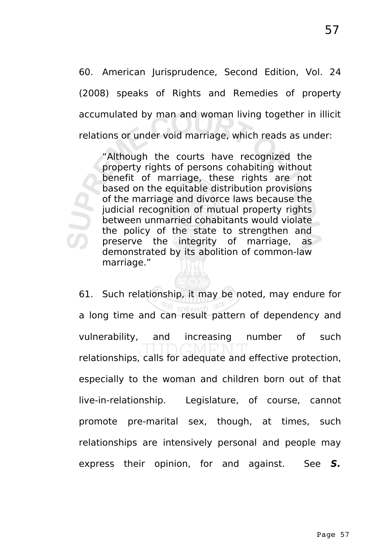60. American Jurisprudence, Second Edition, Vol. 24 (2008) speaks of Rights and Remedies of property accumulated by man and woman living together in illicit relations or under void marriage, which reads as under:

"Although the courts have recognized the property rights of persons cohabiting without benefit of marriage, these rights are not based on the equitable distribution provisions of the marriage and divorce laws because the judicial recognition of mutual property rights between unmarried cohabitants would violate the policy of the state to strengthen and preserve the integrity of marriage, as demonstrated by its abolition of common-law marriage."

61. Such relationship, it may be noted, may endure for a long time and can result pattern of dependency and vulnerability, and increasing number of such relationships, calls for adequate and effective protection, especially to the woman and children born out of that live-in-relationship. Legislature, of course, cannot promote pre-marital sex, though, at times, such relationships are intensively personal and people may express their opinion, for and against. See **S.**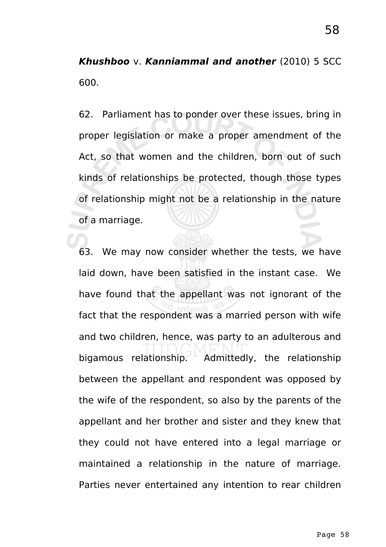**Khushboo** v. **Kanniammal and another** (2010) 5 SCC 600.

62. Parliament has to ponder over these issues, bring in proper legislation or make a proper amendment of the Act, so that women and the children, born out of such kinds of relationships be protected, though those types of relationship might not be a relationship in the nature of a marriage.

63. We may now consider whether the tests, we have laid down, have been satisfied in the instant case. We have found that the appellant was not ignorant of the fact that the respondent was a married person with wife and two children, hence, was party to an adulterous and bigamous relationship.  $\overline{A}$  Admittedly, the relationship between the appellant and respondent was opposed by the wife of the respondent, so also by the parents of the appellant and her brother and sister and they knew that they could not have entered into a legal marriage or maintained a relationship in the nature of marriage. Parties never entertained any intention to rear children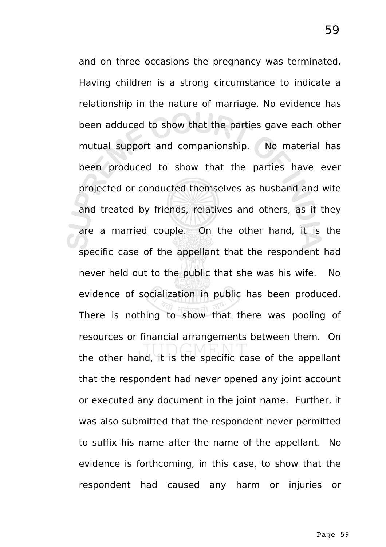and on three occasions the pregnancy was terminated. Having children is a strong circumstance to indicate a relationship in the nature of marriage. No evidence has been adduced to show that the parties gave each other mutual support and companionship. No material has been produced to show that the parties have ever projected or conducted themselves as husband and wife and treated by friends, relatives and others, as if they are a married couple. On the other hand, it is the specific case of the appellant that the respondent had never held out to the public that she was his wife. No evidence of socialization in public has been produced. There is nothing to show that there was pooling of resources or financial arrangements between them. On the other hand, it is the specific case of the appellant that the respondent had never opened any joint account or executed any document in the joint name. Further, it was also submitted that the respondent never permitted to suffix his name after the name of the appellant. No evidence is forthcoming, in this case, to show that the respondent had caused any harm or injuries or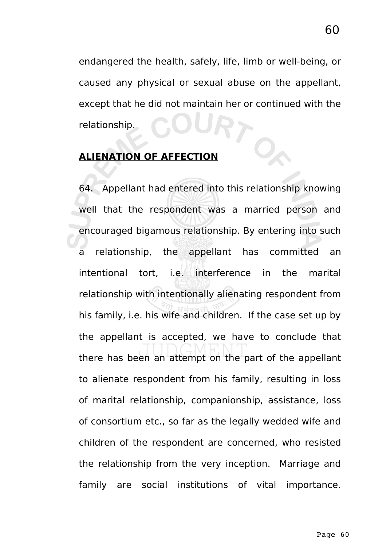endangered the health, safely, life, limb or well-being, or caused any physical or sexual abuse on the appellant, except that he did not maintain her or continued with the relationship.

#### **ALIENATION OF AFFECTION**

64. Appellant had entered into this relationship knowing well that the respondent was a married person and encouraged bigamous relationship. By entering into such a relationship, the appellant has committed an intentional tort, i.e. interference in the marital relationship with intentionally alienating respondent from his family, i.e. his wife and children. If the case set up by the appellant is accepted, we have to conclude that there has been an attempt on the part of the appellant to alienate respondent from his family, resulting in loss of marital relationship, companionship, assistance, loss of consortium etc., so far as the legally wedded wife and children of the respondent are concerned, who resisted the relationship from the very inception. Marriage and family are social institutions of vital importance.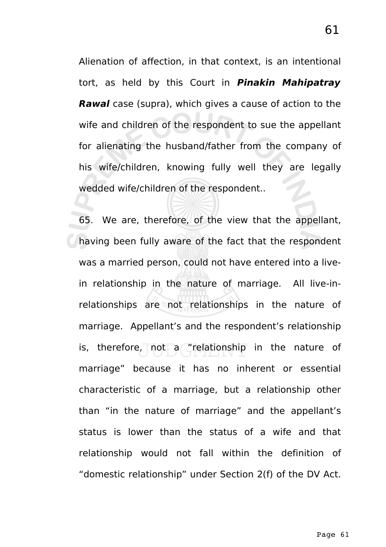Alienation of affection, in that context, is an intentional tort, as held by this Court in **Pinakin Mahipatray Rawal** case (supra), which gives a cause of action to the wife and children of the respondent to sue the appellant for alienating the husband/father from the company of his wife/children, knowing fully well they are legally wedded wife/children of the respondent..

65. We are, therefore, of the view that the appellant, having been fully aware of the fact that the respondent was a married person, could not have entered into a livein relationship in the nature of marriage. All live-inrelationships are not relationships in the nature of marriage. Appellant's and the respondent's relationship is, therefore, not a "relationship in the nature of marriage" because it has no inherent or essential characteristic of a marriage, but a relationship other than "in the nature of marriage" and the appellant's status is lower than the status of a wife and that relationship would not fall within the definition of "domestic relationship" under Section 2(f) of the DV Act.

61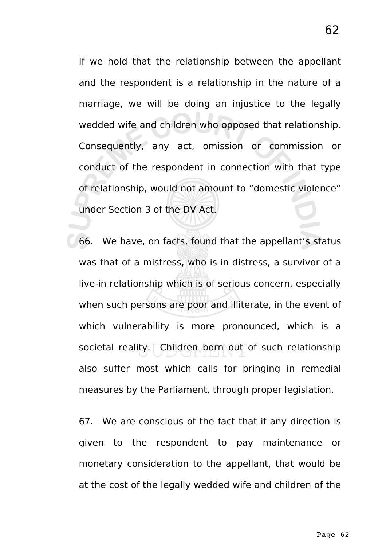If we hold that the relationship between the appellant and the respondent is a relationship in the nature of a marriage, we will be doing an injustice to the legally wedded wife and children who opposed that relationship. Consequently, any act, omission or commission or conduct of the respondent in connection with that type of relationship, would not amount to "domestic violence" under Section 3 of the DV Act.

66. We have, on facts, found that the appellant's status was that of a mistress, who is in distress, a survivor of a live-in relationship which is of serious concern, especially when such persons are poor and illiterate, in the event of which vulnerability is more pronounced, which is a societal reality. Children born out of such relationship also suffer most which calls for bringing in remedial measures by the Parliament, through proper legislation.

67. We are conscious of the fact that if any direction is given to the respondent to pay maintenance or monetary consideration to the appellant, that would be at the cost of the legally wedded wife and children of the